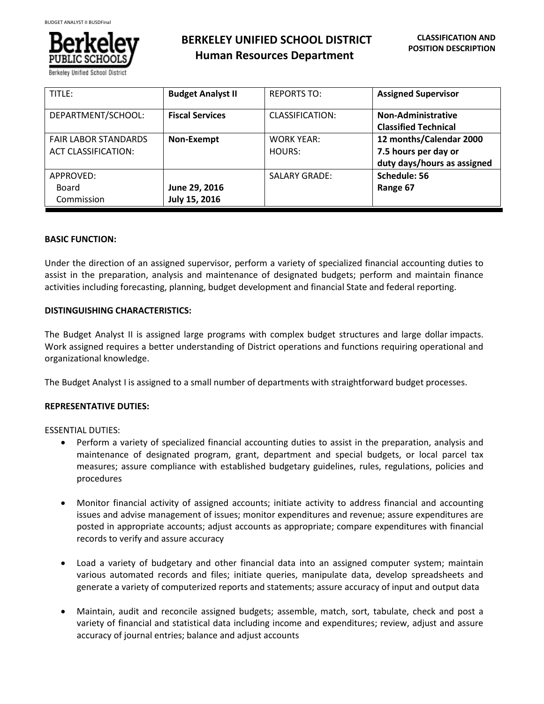

**BERKELEY UNIFIED SCHOOL DISTRICT Human Resources Department**

| TITLE:                      | <b>Budget Analyst II</b> | <b>REPORTS TO:</b>   | <b>Assigned Supervisor</b>  |
|-----------------------------|--------------------------|----------------------|-----------------------------|
| DEPARTMENT/SCHOOL:          | <b>Fiscal Services</b>   | CLASSIFICATION:      | Non-Administrative          |
|                             |                          |                      | <b>Classified Technical</b> |
| <b>FAIR LABOR STANDARDS</b> | Non-Exempt               | <b>WORK YEAR:</b>    | 12 months/Calendar 2000     |
| <b>ACT CLASSIFICATION:</b>  |                          | HOURS:               | 7.5 hours per day or        |
|                             |                          |                      | duty days/hours as assigned |
| APPROVED:                   |                          | <b>SALARY GRADE:</b> | Schedule: 56                |
| Board                       | June 29, 2016            |                      | Range 67                    |
| Commission                  | July 15, 2016            |                      |                             |

## **BASIC FUNCTION:**

Under the direction of an assigned supervisor, perform a variety of specialized financial accounting duties to assist in the preparation, analysis and maintenance of designated budgets; perform and maintain finance activities including forecasting, planning, budget development and financial State and federal reporting.

## **DISTINGUISHING CHARACTERISTICS:**

The Budget Analyst II is assigned large programs with complex budget structures and large dollar impacts. Work assigned requires a better understanding of District operations and functions requiring operational and organizational knowledge.

The Budget Analyst I is assigned to a small number of departments with straightforward budget processes.

## **REPRESENTATIVE DUTIES:**

ESSENTIAL DUTIES:

- Perform a variety of specialized financial accounting duties to assist in the preparation, analysis and maintenance of designated program, grant, department and special budgets, or local parcel tax measures; assure compliance with established budgetary guidelines, rules, regulations, policies and procedures
- Monitor financial activity of assigned accounts; initiate activity to address financial and accounting issues and advise management of issues; monitor expenditures and revenue; assure expenditures are posted in appropriate accounts; adjust accounts as appropriate; compare expenditures with financial records to verify and assure accuracy
- Load a variety of budgetary and other financial data into an assigned computer system; maintain various automated records and files; initiate queries, manipulate data, develop spreadsheets and generate a variety of computerized reports and statements; assure accuracy of input and output data
- Maintain, audit and reconcile assigned budgets; assemble, match, sort, tabulate, check and post a variety of financial and statistical data including income and expenditures; review, adjust and assure accuracy of journal entries; balance and adjust accounts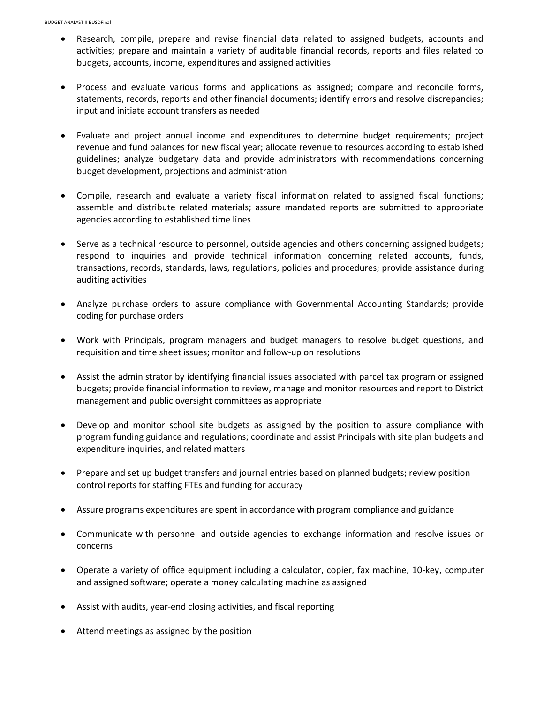- Research, compile, prepare and revise financial data related to assigned budgets, accounts and activities; prepare and maintain a variety of auditable financial records, reports and files related to budgets, accounts, income, expenditures and assigned activities
- Process and evaluate various forms and applications as assigned; compare and reconcile forms, statements, records, reports and other financial documents; identify errors and resolve discrepancies; input and initiate account transfers as needed
- Evaluate and project annual income and expenditures to determine budget requirements; project revenue and fund balances for new fiscal year; allocate revenue to resources according to established guidelines; analyze budgetary data and provide administrators with recommendations concerning budget development, projections and administration
- Compile, research and evaluate a variety fiscal information related to assigned fiscal functions; assemble and distribute related materials; assure mandated reports are submitted to appropriate agencies according to established time lines
- Serve as a technical resource to personnel, outside agencies and others concerning assigned budgets; respond to inquiries and provide technical information concerning related accounts, funds, transactions, records, standards, laws, regulations, policies and procedures; provide assistance during auditing activities
- Analyze purchase orders to assure compliance with Governmental Accounting Standards; provide coding for purchase orders
- Work with Principals, program managers and budget managers to resolve budget questions, and requisition and time sheet issues; monitor and follow-up on resolutions
- Assist the administrator by identifying financial issues associated with parcel tax program or assigned budgets; provide financial information to review, manage and monitor resources and report to District management and public oversight committees as appropriate
- Develop and monitor school site budgets as assigned by the position to assure compliance with program funding guidance and regulations; coordinate and assist Principals with site plan budgets and expenditure inquiries, and related matters
- Prepare and set up budget transfers and journal entries based on planned budgets; review position control reports for staffing FTEs and funding for accuracy
- Assure programs expenditures are spent in accordance with program compliance and guidance
- Communicate with personnel and outside agencies to exchange information and resolve issues or concerns
- Operate a variety of office equipment including a calculator, copier, fax machine, 10-key, computer and assigned software; operate a money calculating machine as assigned
- Assist with audits, year-end closing activities, and fiscal reporting
- Attend meetings as assigned by the position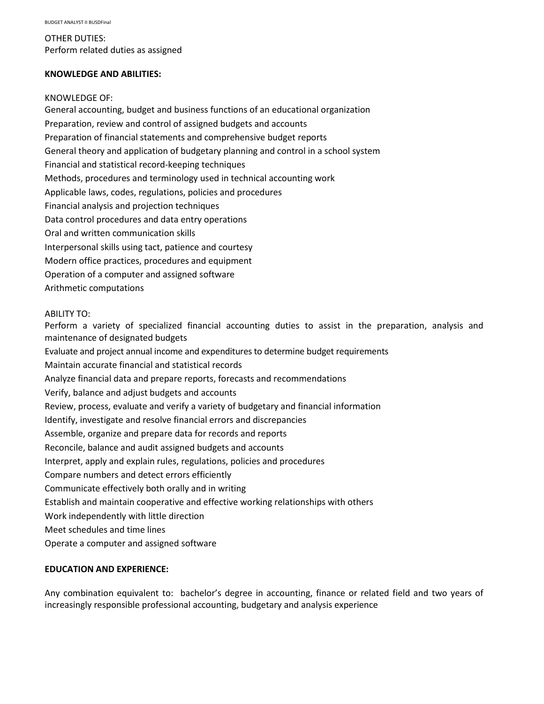OTHER DUTIES: Perform related duties as assigned

# **KNOWLEDGE AND ABILITIES:**

#### KNOWLEDGE OF:

General accounting, budget and business functions of an educational organization Preparation, review and control of assigned budgets and accounts Preparation of financial statements and comprehensive budget reports General theory and application of budgetary planning and control in a school system Financial and statistical record-keeping techniques Methods, procedures and terminology used in technical accounting work Applicable laws, codes, regulations, policies and procedures Financial analysis and projection techniques Data control procedures and data entry operations Oral and written communication skills Interpersonal skills using tact, patience and courtesy Modern office practices, procedures and equipment Operation of a computer and assigned software Arithmetic computations

### ABILITY TO:

Perform a variety of specialized financial accounting duties to assist in the preparation, analysis and maintenance of designated budgets Evaluate and project annual income and expenditures to determine budget requirements Maintain accurate financial and statistical records Analyze financial data and prepare reports, forecasts and recommendations Verify, balance and adjust budgets and accounts Review, process, evaluate and verify a variety of budgetary and financial information Identify, investigate and resolve financial errors and discrepancies Assemble, organize and prepare data for records and reports Reconcile, balance and audit assigned budgets and accounts Interpret, apply and explain rules, regulations, policies and procedures Compare numbers and detect errors efficiently Communicate effectively both orally and in writing Establish and maintain cooperative and effective working relationships with others Work independently with little direction

Meet schedules and time lines

Operate a computer and assigned software

### **EDUCATION AND EXPERIENCE:**

Any combination equivalent to: bachelor's degree in accounting, finance or related field and two years of increasingly responsible professional accounting, budgetary and analysis experience